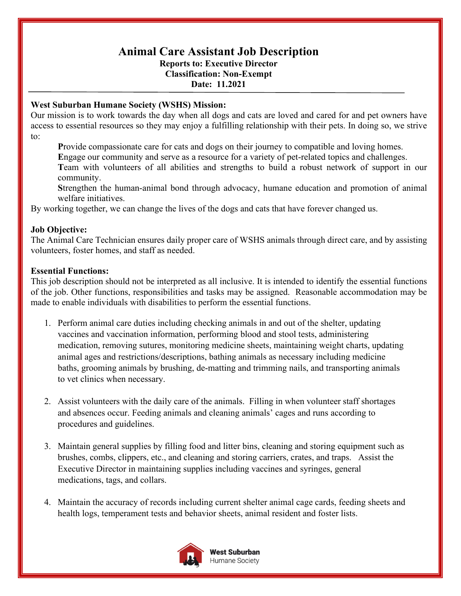# **Animal Care Assistant Job Description Reports to: Executive Director**

# **Classification: Non-Exempt Date: 11.2021**

### **West Suburban Humane Society (WSHS) Mission:**

Our mission is to work towards the day when all dogs and cats are loved and cared for and pet owners have access to essential resources so they may enjoy a fulfilling relationship with their pets. In doing so, we strive to:

**P**rovide compassionate care for cats and dogs on their journey to compatible and loving homes.

**E**ngage our community and serve as a resource for a variety of pet-related topics and challenges.

**T**eam with volunteers of all abilities and strengths to build a robust network of support in our community.

**S**trengthen the human-animal bond through advocacy, humane education and promotion of animal welfare initiatives.

By working together, we can change the lives of the dogs and cats that have forever changed us.

# **Job Objective:**

The Animal Care Technician ensures daily proper care of WSHS animals through direct care, and by assisting volunteers, foster homes, and staff as needed.

# **Essential Functions:**

This job description should not be interpreted as all inclusive. It is intended to identify the essential functions of the job. Other functions, responsibilities and tasks may be assigned. Reasonable accommodation may be made to enable individuals with disabilities to perform the essential functions.

- 1. Perform animal care duties including checking animals in and out of the shelter, updating vaccines and vaccination information, performing blood and stool tests, administering medication, removing sutures, monitoring medicine sheets, maintaining weight charts, updating animal ages and restrictions/descriptions, bathing animals as necessary including medicine baths, grooming animals by brushing, de-matting and trimming nails, and transporting animals to vet clinics when necessary.
- 2. Assist volunteers with the daily care of the animals. Filling in when volunteer staff shortages and absences occur. Feeding animals and cleaning animals' cages and runs according to procedures and guidelines.
- 3. Maintain general supplies by filling food and litter bins, cleaning and storing equipment such as brushes, combs, clippers, etc., and cleaning and storing carriers, crates, and traps. Assist the Executive Director in maintaining supplies including vaccines and syringes, general medications, tags, and collars.
- 4. Maintain the accuracy of records including current shelter animal cage cards, feeding sheets and health logs, temperament tests and behavior sheets, animal resident and foster lists.

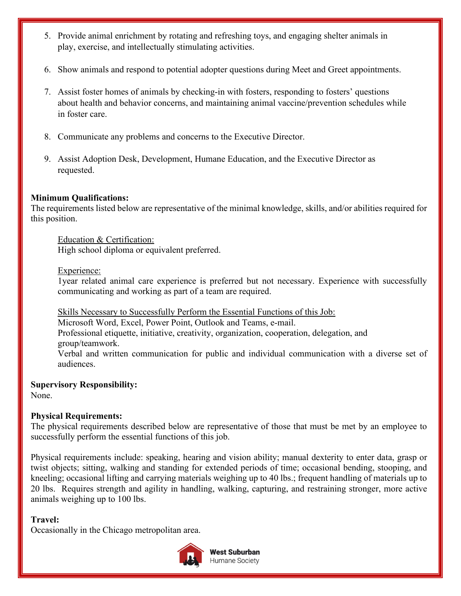- 5. Provide animal enrichment by rotating and refreshing toys, and engaging shelter animals in play, exercise, and intellectually stimulating activities.
- 6. Show animals and respond to potential adopter questions during Meet and Greet appointments.
- 7. Assist foster homes of animals by checking-in with fosters, responding to fosters' questions about health and behavior concerns, and maintaining animal vaccine/prevention schedules while in foster care.
- 8. Communicate any problems and concerns to the Executive Director.
- 9. Assist Adoption Desk, Development, Humane Education, and the Executive Director as requested.

#### **Minimum Qualifications:**

The requirements listed below are representative of the minimal knowledge, skills, and/or abilities required for this position.

Education & Certification: High school diploma or equivalent preferred.

#### Experience:

1year related animal care experience is preferred but not necessary. Experience with successfully communicating and working as part of a team are required.

Skills Necessary to Successfully Perform the Essential Functions of this Job:

Microsoft Word, Excel, Power Point, Outlook and Teams, e-mail. Professional etiquette, initiative, creativity, organization, cooperation, delegation, and group/teamwork.

Verbal and written communication for public and individual communication with a diverse set of audiences.

**Supervisory Responsibility:** 

None.

#### **Physical Requirements:**

The physical requirements described below are representative of those that must be met by an employee to successfully perform the essential functions of this job.

Physical requirements include: speaking, hearing and vision ability; manual dexterity to enter data, grasp or twist objects; sitting, walking and standing for extended periods of time; occasional bending, stooping, and kneeling; occasional lifting and carrying materials weighing up to 40 lbs.; frequent handling of materials up to 20 lbs. Requires strength and agility in handling, walking, capturing, and restraining stronger, more active animals weighing up to 100 lbs.

#### **Travel:**

Occasionally in the Chicago metropolitan area.